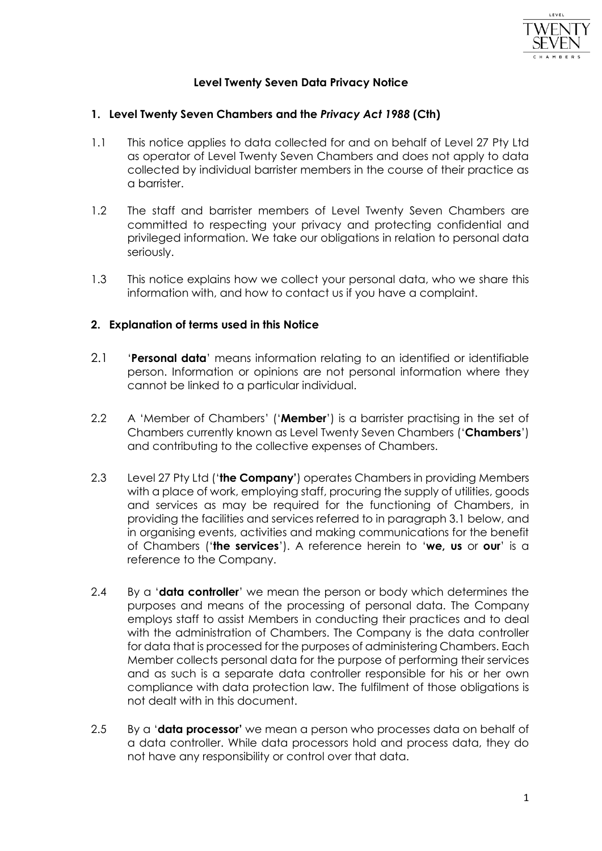

# **Level Twenty Seven Data Privacy Notice**

### **1. Level Twenty Seven Chambers and the** *Privacy Act 1988* **(Cth)**

- 1.1 This notice applies to data collected for and on behalf of Level 27 Pty Ltd as operator of Level Twenty Seven Chambers and does not apply to data collected by individual barrister members in the course of their practice as a barrister.
- 1.2 The staff and barrister members of Level Twenty Seven Chambers are committed to respecting your privacy and protecting confidential and privileged information. We take our obligations in relation to personal data seriously.
- 1.3 This notice explains how we collect your personal data, who we share this information with, and how to contact us if you have a complaint.

## **2. Explanation of terms used in this Notice**

- 2.1 '**Personal data**' means information relating to an identified or identifiable person. Information or opinions are not personal information where they cannot be linked to a particular individual.
- 2.2 A 'Member of Chambers' ('**Member**') is a barrister practising in the set of Chambers currently known as Level Twenty Seven Chambers ('**Chambers**') and contributing to the collective expenses of Chambers.
- 2.3 Level 27 Pty Ltd ('**the Company'**) operates Chambers in providing Members with a place of work, employing staff, procuring the supply of utilities, goods and services as may be required for the functioning of Chambers, in providing the facilities and services referred to in paragraph 3.1 below, and in organising events, activities and making communications for the benefit of Chambers ('**the services**'). A reference herein to '**we, us** or **our**' is a reference to the Company.
- 2.4 By a '**data controller**' we mean the person or body which determines the purposes and means of the processing of personal data. The Company employs staff to assist Members in conducting their practices and to deal with the administration of Chambers. The Company is the data controller for data that is processed for the purposes of administering Chambers. Each Member collects personal data for the purpose of performing their services and as such is a separate data controller responsible for his or her own compliance with data protection law. The fulfilment of those obligations is not dealt with in this document.
- 2.5 By a '**data processor'** we mean a person who processes data on behalf of a data controller. While data processors hold and process data, they do not have any responsibility or control over that data.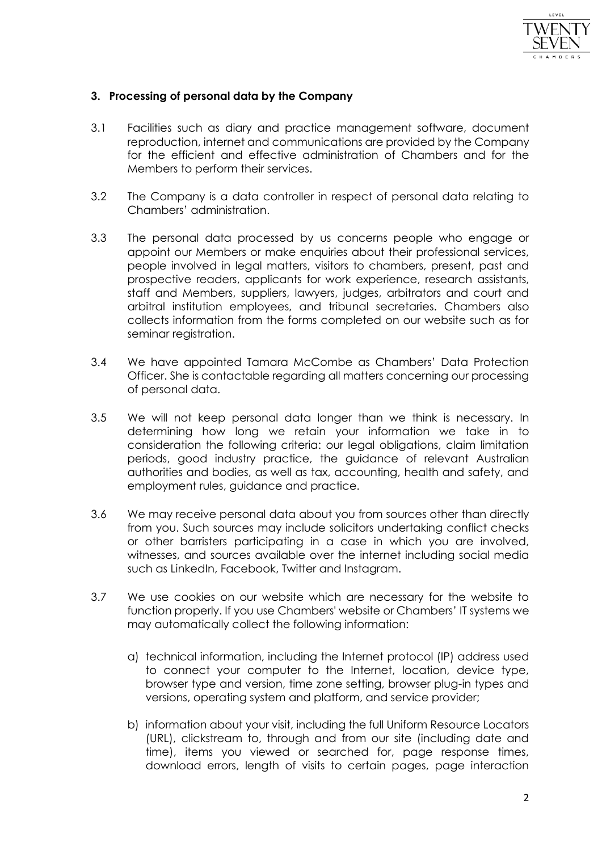

## **3. Processing of personal data by the Company**

- 3.1 Facilities such as diary and practice management software, document reproduction, internet and communications are provided by the Company for the efficient and effective administration of Chambers and for the Members to perform their services.
- 3.2 The Company is a data controller in respect of personal data relating to Chambers' administration.
- 3.3 The personal data processed by us concerns people who engage or appoint our Members or make enquiries about their professional services, people involved in legal matters, visitors to chambers, present, past and prospective readers, applicants for work experience, research assistants, staff and Members, suppliers, lawyers, judges, arbitrators and court and arbitral institution employees, and tribunal secretaries. Chambers also collects information from the forms completed on our website such as for seminar registration.
- 3.4 We have appointed Tamara McCombe as Chambers' Data Protection Officer. She is contactable regarding all matters concerning our processing of personal data.
- 3.5 We will not keep personal data longer than we think is necessary. In determining how long we retain your information we take in to consideration the following criteria: our legal obligations, claim limitation periods, good industry practice, the guidance of relevant Australian authorities and bodies, as well as tax, accounting, health and safety, and employment rules, guidance and practice.
- 3.6 We may receive personal data about you from sources other than directly from you. Such sources may include solicitors undertaking conflict checks or other barristers participating in a case in which you are involved, witnesses, and sources available over the internet including social media such as LinkedIn, Facebook, Twitter and Instagram.
- 3.7 We use cookies on our website which are necessary for the website to function properly. If you use Chambers' website or Chambers' IT systems we may automatically collect the following information:
	- a) technical information, including the Internet protocol (IP) address used to connect your computer to the Internet, location, device type, browser type and version, time zone setting, browser plug-in types and versions, operating system and platform, and service provider;
	- b) information about your visit, including the full Uniform Resource Locators (URL), clickstream to, through and from our site (including date and time), items you viewed or searched for, page response times, download errors, length of visits to certain pages, page interaction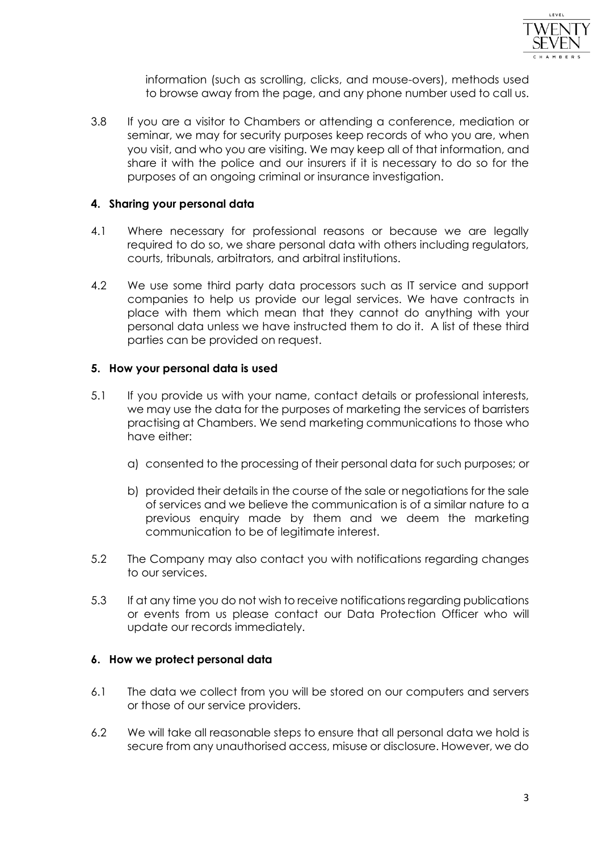

information (such as scrolling, clicks, and mouse-overs), methods used to browse away from the page, and any phone number used to call us.

3.8 If you are a visitor to Chambers or attending a conference, mediation or seminar, we may for security purposes keep records of who you are, when you visit, and who you are visiting. We may keep all of that information, and share it with the police and our insurers if it is necessary to do so for the purposes of an ongoing criminal or insurance investigation.

### **4. Sharing your personal data**

- 4.1 Where necessary for professional reasons or because we are legally required to do so, we share personal data with others including regulators, courts, tribunals, arbitrators, and arbitral institutions.
- 4.2 We use some third party data processors such as IT service and support companies to help us provide our legal services. We have contracts in place with them which mean that they cannot do anything with your personal data unless we have instructed them to do it. A list of these third parties can be provided on request.

#### **5. How your personal data is used**

- 5.1 If you provide us with your name, contact details or professional interests, we may use the data for the purposes of marketing the services of barristers practising at Chambers. We send marketing communications to those who have either:
	- a) consented to the processing of their personal data for such purposes; or
	- b) provided their details in the course of the sale or negotiations for the sale of services and we believe the communication is of a similar nature to a previous enquiry made by them and we deem the marketing communication to be of legitimate interest.
- 5.2 The Company may also contact you with notifications regarding changes to our services.
- 5.3 If at any time you do not wish to receive notifications regarding publications or events from us please contact our Data Protection Officer who will update our records immediately.

### **6. How we protect personal data**

- 6.1 The data we collect from you will be stored on our computers and servers or those of our service providers.
- 6.2 We will take all reasonable steps to ensure that all personal data we hold is secure from any unauthorised access, misuse or disclosure. However, we do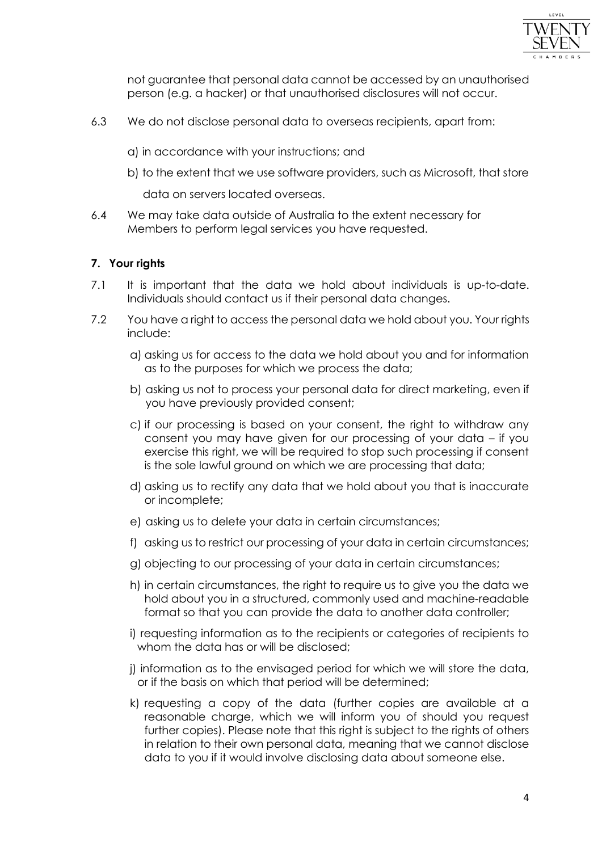

not guarantee that personal data cannot be accessed by an unauthorised person (e.g. a hacker) or that unauthorised disclosures will not occur.

- 6.3 We do not disclose personal data to overseas recipients, apart from:
	- a) in accordance with your instructions; and
	- b) to the extent that we use software providers, such as Microsoft, that store

data on servers located overseas.

6.4 We may take data outside of Australia to the extent necessary for Members to perform legal services you have requested.

# **7. Your rights**

- 7.1 It is important that the data we hold about individuals is up-to-date. Individuals should contact us if their personal data changes.
- 7.2 You have a right to access the personal data we hold about you. Your rights include:
	- a) asking us for access to the data we hold about you and for information as to the purposes for which we process the data;
	- b) asking us not to process your personal data for direct marketing, even if you have previously provided consent;
	- c) if our processing is based on your consent, the right to withdraw any consent you may have given for our processing of your data – if you exercise this right, we will be required to stop such processing if consent is the sole lawful ground on which we are processing that data;
	- d) asking us to rectify any data that we hold about you that is inaccurate or incomplete;
	- e) asking us to delete your data in certain circumstances;
	- f) asking us to restrict our processing of your data in certain circumstances;
	- g) objecting to our processing of your data in certain circumstances;
	- h) in certain circumstances, the right to require us to give you the data we hold about you in a structured, commonly used and machine-readable format so that you can provide the data to another data controller;
	- i) requesting information as to the recipients or categories of recipients to whom the data has or will be disclosed;
	- j) information as to the envisaged period for which we will store the data, or if the basis on which that period will be determined;
	- k) requesting a copy of the data (further copies are available at a reasonable charge, which we will inform you of should you request further copies). Please note that this right is subject to the rights of others in relation to their own personal data, meaning that we cannot disclose data to you if it would involve disclosing data about someone else.